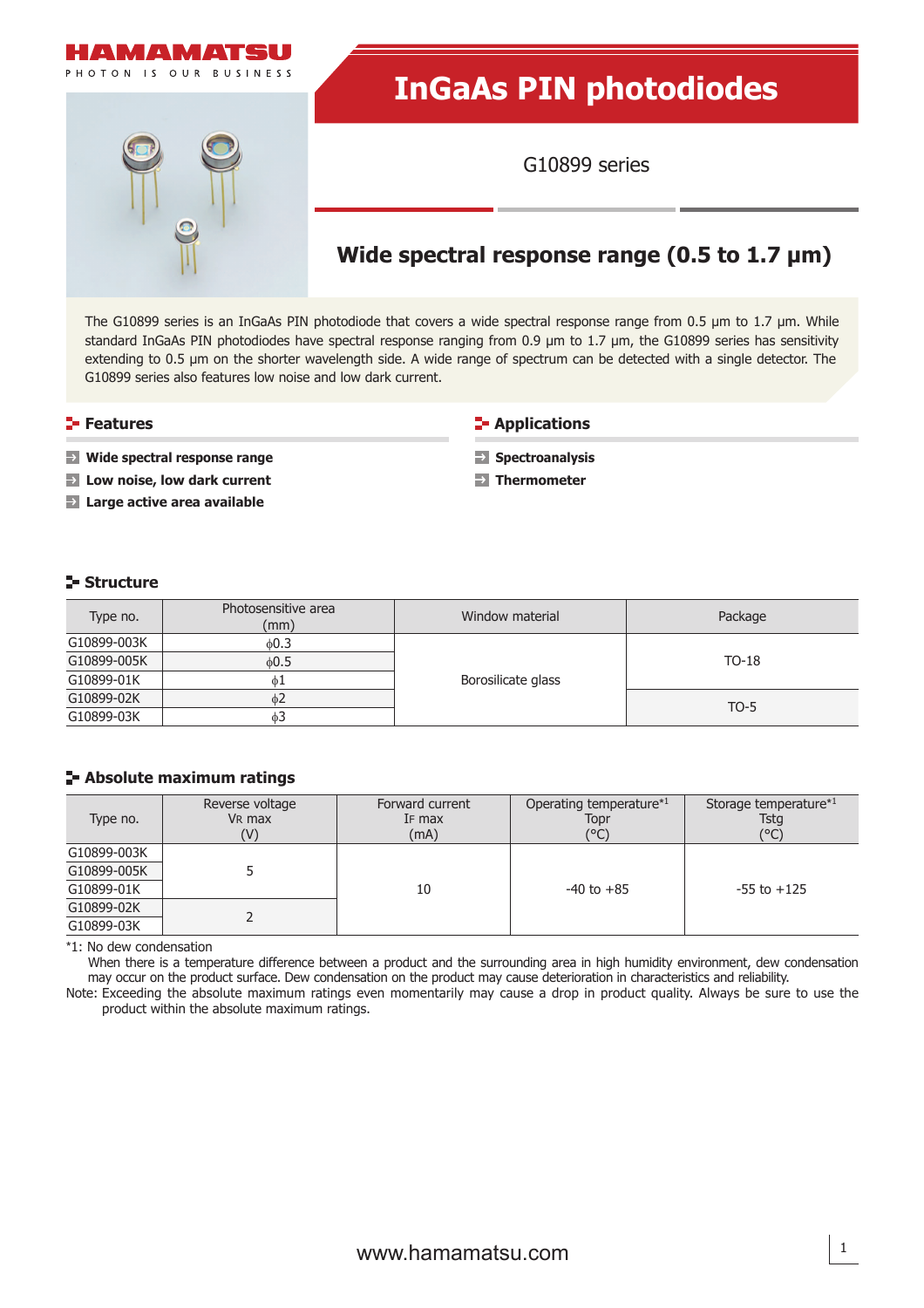

# **InGaAs PIN photodiodes**

G10899 series

## **Wide spectral response range (0.5 to 1.7 μm)**

The G10899 series is an InGaAs PIN photodiode that covers a wide spectral response range from 0.5 μm to 1.7 μm. While standard InGaAs PIN photodiodes have spectral response ranging from 0.9 μm to 1.7 μm, the G10899 series has sensitivity extending to 0.5 μm on the shorter wavelength side. A wide range of spectrum can be detected with a single detector. The G10899 series also features low noise and low dark current.

#### **Features**

#### **E-** Applications

**Wide spectral response range Low noise, low dark current**

**Large active area available** 

**Spectroanalysis Thermometer** 

**Structure** 

| Type no.    | Photosensitive area<br>(mm) | Window material    | Package |  |  |
|-------------|-----------------------------|--------------------|---------|--|--|
| G10899-003K | 0.3                         |                    |         |  |  |
| G10899-005K | 60.5                        |                    | $TO-18$ |  |  |
| G10899-01K  | φ1                          | Borosilicate glass |         |  |  |
| G10899-02K  | $\phi$ 2                    |                    | $TO-5$  |  |  |
| G10899-03K  | $\phi$ 3                    |                    |         |  |  |

#### **Absolute maximum ratings**

| Type no.    | Reverse voltage<br>V <sub>R</sub> max<br>(V) | Forward current<br>IF max<br>(mA) | Operating temperature*1<br>Topr<br>(°C) | Storage temperature*1<br>Tstg<br>(°C) |  |  |
|-------------|----------------------------------------------|-----------------------------------|-----------------------------------------|---------------------------------------|--|--|
| G10899-003K |                                              |                                   |                                         |                                       |  |  |
| G10899-005K |                                              |                                   |                                         |                                       |  |  |
| G10899-01K  |                                              | 10                                | $-40$ to $+85$                          | $-55$ to $+125$                       |  |  |
| G10899-02K  |                                              |                                   |                                         |                                       |  |  |
| G10899-03K  |                                              |                                   |                                         |                                       |  |  |

\*1: No dew condensation

When there is a temperature difference between a product and the surrounding area in high humidity environment, dew condensation may occur on the product surface. Dew condensation on the product may cause deterioration in characteristics and reliability.

Note: Exceeding the absolute maximum ratings even momentarily may cause a drop in product quality. Always be sure to use the product within the absolute maximum ratings.

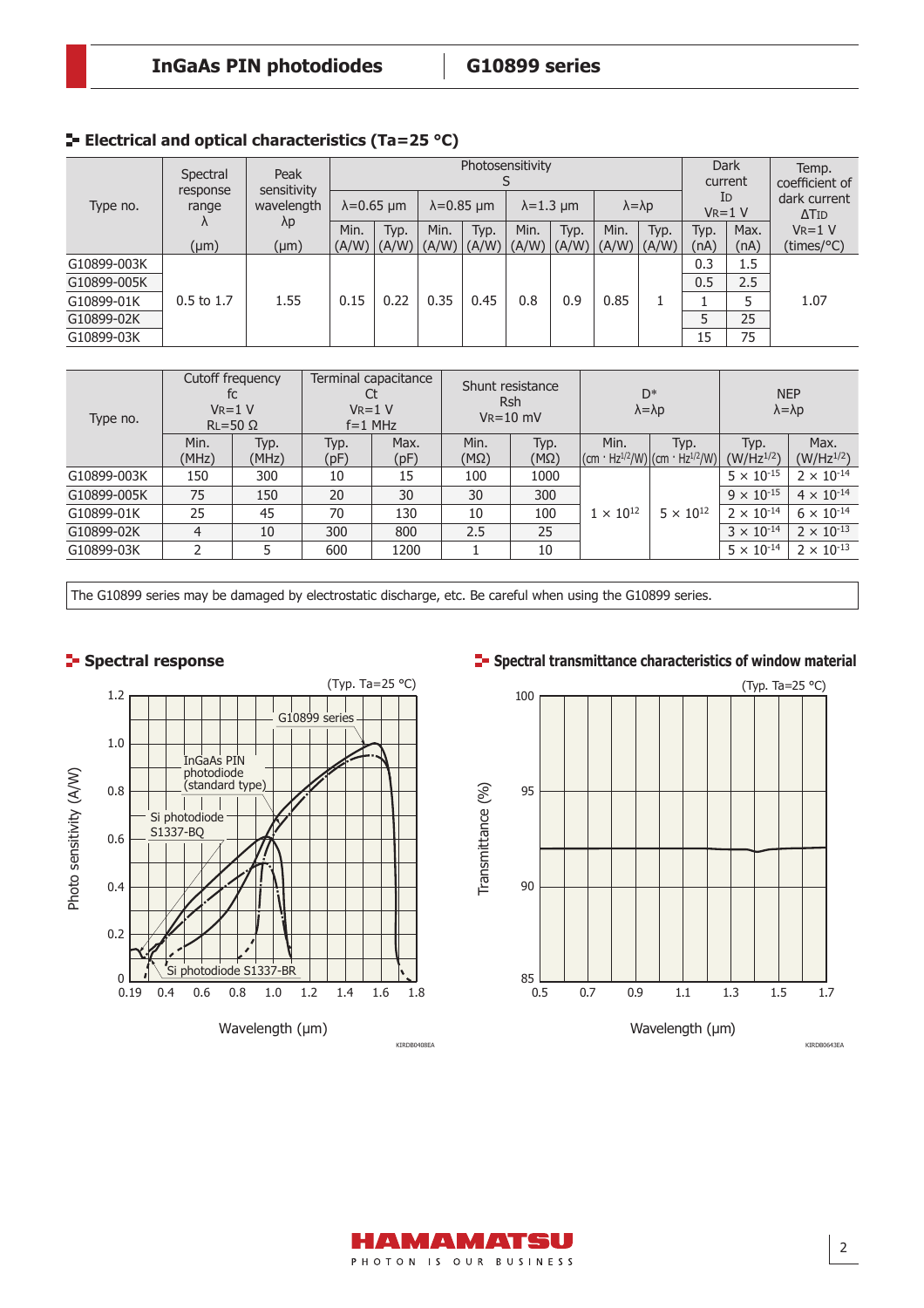|             | Spectral          | Peak<br>sensitivity<br>wavelength<br>$\lambda p$ | Photosensitivity    |                     |                     |      |                   |       |                       | <b>Dark</b><br>current |                   | Temp.<br>coefficient of |                              |
|-------------|-------------------|--------------------------------------------------|---------------------|---------------------|---------------------|------|-------------------|-------|-----------------------|------------------------|-------------------|-------------------------|------------------------------|
| Type no.    | response<br>range |                                                  | $\lambda = 0.65$ µm |                     | $\lambda = 0.85$ µm |      | $\lambda$ =1.3 µm |       | $\lambda = \lambda p$ |                        | ID<br>$V_R = 1 V$ |                         | dark current<br>$\Delta$ Tid |
|             |                   |                                                  | Min.                | Typ.                | Min.                | Typ. | Min.              | Typ.  | Min.                  | Typ.                   | Typ.              | Max.                    | $V_R = 1 V$                  |
|             | $(\mu m)$         | $(\mu m)$                                        |                     | $(A/W)$ $(A/W)$ $($ | (A/W)  (A/W)  (A/W) |      |                   | (A/W) | (A/W)  (A/W)          |                        | (nA)              | (nA)                    | $(\text{times}/^{\circ}C)$   |
| G10899-003K |                   |                                                  |                     | 0.22                | 0.35                | 0.45 | 0.8               | 0.9   | 0.85                  |                        | 0.3               | 1.5                     | 1.07                         |
| G10899-005K |                   | 1.55                                             | 0.15                |                     |                     |      |                   |       |                       |                        | 0.5               | 2.5                     |                              |
| G10899-01K  | $0.5$ to 1.7      |                                                  |                     |                     |                     |      |                   |       |                       |                        |                   |                         |                              |
| G10899-02K  |                   |                                                  |                     |                     |                     |      |                   |       |                       |                        | 5                 | 25                      |                              |
| G10899-03K  |                   |                                                  |                     |                     |                     |      |                   |       |                       | 15                     | 75                |                         |                              |

| Type no.    | Cutoff frequency<br>fc<br>$V_R = 1 V$<br>$RL = 50 \Omega$ |               | Terminal capacitance<br>$V_R = 1 V$<br>$f = 1$ MHz |              | Shunt resistance<br><b>Rsh</b><br>$V_R = 10$ mV |                     | $D^*$<br>$\lambda = \lambda p$ |                                                                     | <b>NEP</b><br>$\lambda = \lambda p$ |                        |
|-------------|-----------------------------------------------------------|---------------|----------------------------------------------------|--------------|-------------------------------------------------|---------------------|--------------------------------|---------------------------------------------------------------------|-------------------------------------|------------------------|
|             | Min.<br>(MHz)                                             | Typ.<br>(MHz) | Typ.<br>(pF)                                       | Max.<br>(pF) | Min.<br>$(M\Omega)$                             | Typ.<br>$(M\Omega)$ | Min.                           | Typ.<br>$ $ (cm · Hz <sup>1/2</sup> /W) (cm · Hz <sup>1/2</sup> /W) | Typ.<br>$(W/Hz^{1/2})$              | Max.<br>$(W/Hz^{1/2})$ |
| G10899-003K | 150                                                       | 300           | 10                                                 | 15           | 100                                             | 1000                |                                | $5 \times 10^{12}$                                                  | $5 \times 10^{-15}$                 | $2 \times 10^{-14}$    |
| G10899-005K | 75                                                        | 150           | 20                                                 | 30           | 30                                              | 300                 |                                |                                                                     | $9 \times 10^{-15}$                 | $4 \times 10^{-14}$    |
| G10899-01K  | 25                                                        | 45            | 70                                                 | 130          | 10                                              | 100                 | $1 \times 10^{12}$             |                                                                     | $2 \times 10^{-14}$                 | $6 \times 10^{-14}$    |
| G10899-02K  | 4                                                         | 10            | 300                                                | 800          | 2.5                                             | 25                  |                                |                                                                     | $3 \times 10^{-14}$                 | $2 \times 10^{-13}$    |
| G10899-03K  | 2                                                         |               | 600                                                | 1200         |                                                 | 10                  |                                |                                                                     | $5 \times 10^{-14}$                 | $2 \times 10^{-13}$    |

The G10899 series may be damaged by electrostatic discharge, etc. Be careful when using the G10899 series.





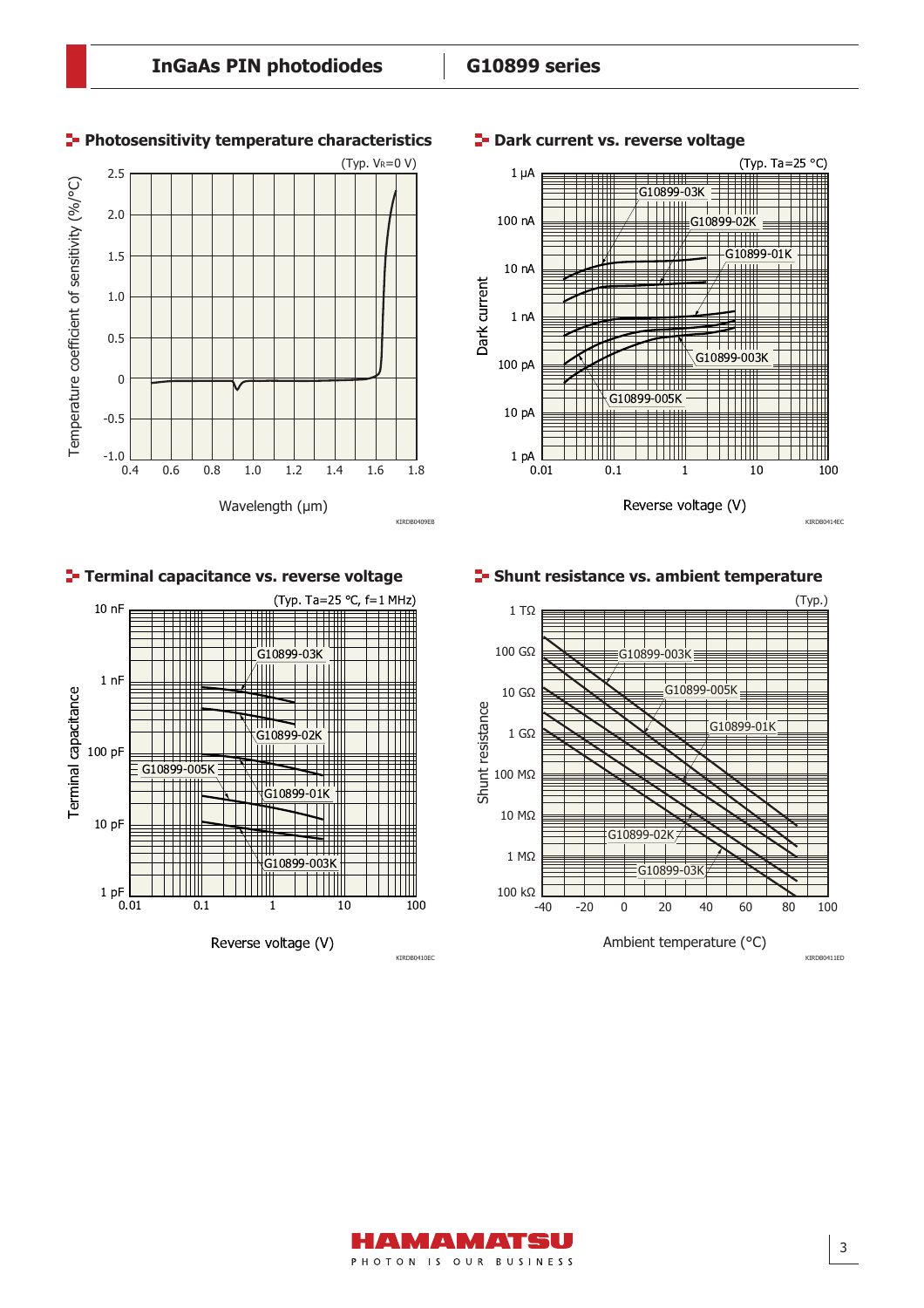**P**-Dark current vs. reverse voltage



#### **Photosensitivity temperature characteristics**

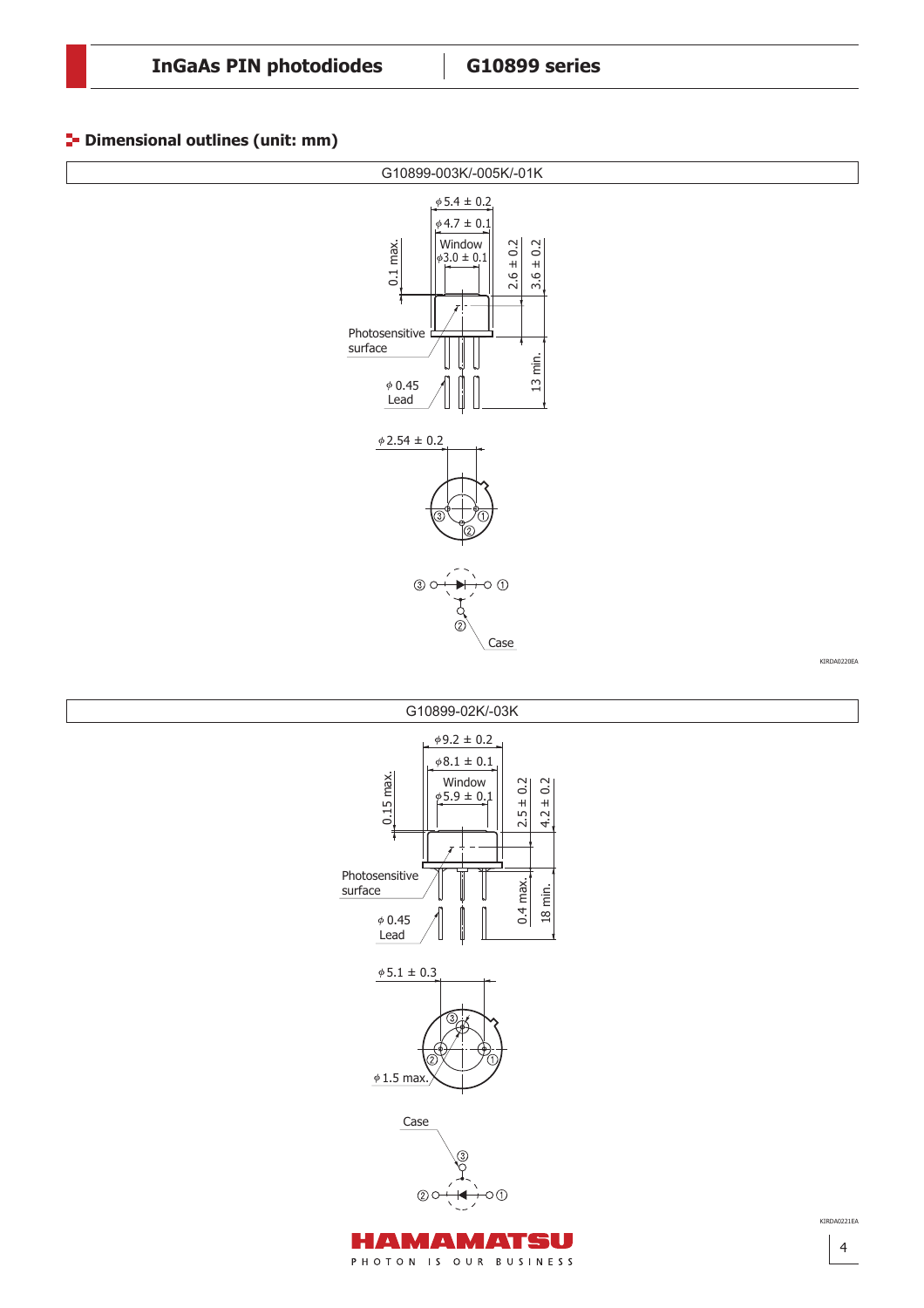#### **P** Dimensional outlines (unit: mm)



HAMAMATSU PHOTON IS OUR BUSINESS

O

Case

 $\circledcirc$ 

 $61.5$  max

4

KIRDA0221EA